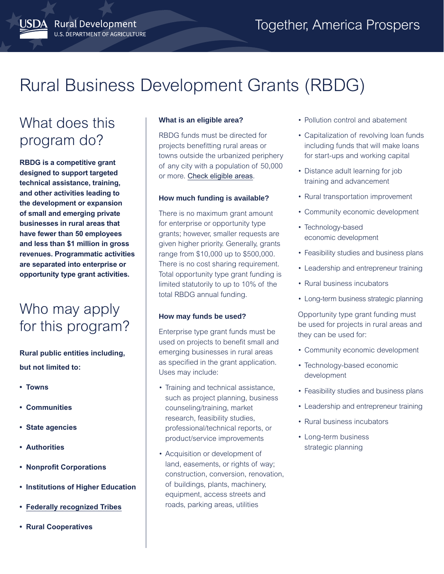# Rural Business Development Grants (RBDG)

## What does this program do?

JSDA Rural Development

U.S. DEPARTMENT OF AGRICULTURE

**RBDG is a competitive grant designed to support targeted technical assistance, training, and other activities leading to the development or expansion of small and emerging private businesses in rural areas that have fewer than 50 employees and less than \$1 million in gross revenues. Programmatic activities are separated into enterprise or opportunity type grant activities.**

### Who may apply for this program?

**Rural public entities including, but not limited to:** 

- **Towns**
- **Communities**
- **State agencies**
- **Authorities**
- **Nonprofit Corporations**
- **Institutions of Higher Education**
- **[Federally recognized Tribes](https://www.bia.gov/bia/ois/tgs)**
- **Rural Cooperatives**

#### **What is an eligible area?**

RBDG funds must be directed for projects benefitting rural areas or towns outside the urbanized periphery of any city with a population of 50,000 or more. [Check eligible areas](https://eligibility.sc.egov.usda.gov/eligibility/welcomeAction.do).

#### **How much funding is available?**

There is no maximum grant amount for enterprise or opportunity type grants; however, smaller requests are given higher priority. Generally, grants range from \$10,000 up to \$500,000. There is no cost sharing requirement. Total opportunity type grant funding is limited statutorily to up to 10% of the total RBDG annual funding.

#### **How may funds be used?**

Enterprise type grant funds must be used on projects to benefit small and emerging businesses in rural areas as specified in the grant application. Uses may include:

- Training and technical assistance, such as project planning, business counseling/training, market research, feasibility studies, professional/technical reports, or product/service improvements
- Acquisition or development of land, easements, or rights of way; construction, conversion, renovation, of buildings, plants, machinery, equipment, access streets and roads, parking areas, utilities
- Pollution control and abatement
- Capitalization of revolving loan funds including funds that will make loans for start-ups and working capital
- Distance adult learning for job training and advancement
- Rural transportation improvement
- Community economic development
- Technology-based economic development
- Feasibility studies and business plans
- Leadership and entrepreneur training
- Rural business incubators
- Long-term business strategic planning

Opportunity type grant funding must be used for projects in rural areas and they can be used for:

- Community economic development
- Technology-based economic development
- Feasibility studies and business plans
- Leadership and entrepreneur training
- Rural business incubators
- Long-term business strategic planning